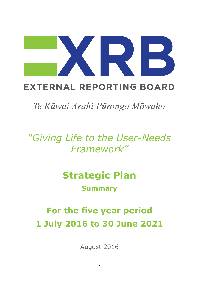# **EXTERNAL REPORTING BOARD**

Te Kāwai Ārahi Pūrongo Mōwaho

*"Giving Life to the User-Needs Framework"*

# **Strategic Plan**

# **Summary**

# **For the five year period 1 July 2016 to 30 June 2021**

August 2016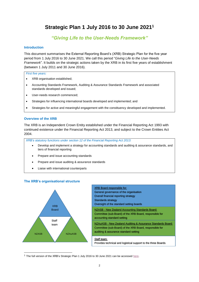# **Strategic Plan 1 July 2016 to 30 June 2021<sup>1</sup>**

# *"Giving Life to the User-Needs Framework"*

### **Introduction**

This document summarises the External Reporting Board's (XRB) Strategic Plan for the five year period from 1 July 2016 to 30 June 2021. We call this period "*Giving Life to the User-Needs Framework*". It builds on the strategic actions taken by the XRB in its first five years of establishment (between 1 July 2011 and 30 June 2016).

### *First five years:*

- XRB organisation established;
- Accounting Standards Framework, Auditing & Assurance Standards Framework and associated standards developed and issued;
- User-needs research commenced;
- Strategies for influencing international boards developed and implemented; and
- Strategies for active and meaningful engagement with the constituency developed and implemented.

### **Overview of the XRB**

The XRB is an Independent Crown Entity established under the Financial Reporting Act 1993 with continued existence under the Financial Reporting Act 2013, and subject to the Crown Entities Act 2004.

*XRB's statutory functions under section 12 of the Financial Reporting Act 2013:*

- Develop and implement a strategy for accounting standards and auditing & assurance standards, and tiers of financial reporting
- Prepare and issue accounting standards
- Prepare and issue auditing & assurance standards
- Liaise with international counterparts

### **The XRB's organisational structure**



-

| <b>XRB Board responsible for:</b>                             |
|---------------------------------------------------------------|
| General governance of the organisation                        |
| Overall financial reporting strategy                          |
| <b>Standards strategy</b>                                     |
| Oversight of the standard setting boards                      |
| NZASB - New Zealand Accounting Standards Board:               |
| Committee (sub-Board) of the XRB Board, responsible for       |
| accounting standard setting                                   |
| NZAuASB - New Zealand Auditing & Assurance Standards Board:   |
| Committee (sub-Board) of the XRB Board, responsible for       |
| auditing & assurance standard setting                         |
|                                                               |
| Staff team:                                                   |
| Provides technical and logistical support to the three Boards |
|                                                               |

<sup>1</sup> The full version of the XRB's Strategic Plan 1 July 2016 to 30 June 2021 can be accesse[d here.](https://www.xrb.govt.nz/includes/download.aspx?ID=145014)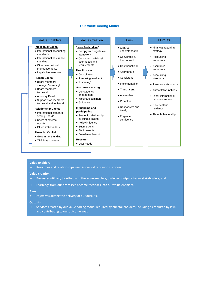### **Our Value Adding Model**

### Value Enablers **Value Creation Aims** Aims Outputs

### **Intellectual Capital**

- International accounting standards
- International assurance standards
- Other international pronouncements
- Legislative mandate

### **Human Capital**

- Board members strategic & oversight
- Board members technical
- Advisory Panel
- Support staff members technical and logistical

### **Relationship Capital**

- International standard setting Boards
- Users of external reports
- Other stakeholders

### **Financial Capital**

- Government funding
- XRB infrastructure

### **"New Zealandise"**

- Comply with legislative framework
- Consistent with local user needs and requirements

### **Due Process**

- Consultation
- Assessing feedback "Listening"

### **Awareness raising**

- Constituency engagement
- Webinars/seminars
- Guidance

### **Influencing and participating**

- Strategic relationship building & liaison
- Policy influence
- Submissions
- Staff projects
- Board membership

### **Research**

User needs

- Clear & understandable
- Converged & harmonised
- Cost beneficial
- Appropriate
- Consistent
- Implementable
- Transparent
- Accessible
- Proactive
- Responsive and timely
- Engender confidence

- Financial reporting strategy
- Accounting framework
- Assurance framework
- Accounting standards
- Assurance standards
- Authoritative notices
- Other international pronouncements
- New Zealand guidance
- Thought leadership

### **Value enablers**

Resources and relationships used in our value creation process.

### **Value creation**

- Processes utilised, together with the value enablers, to deliver outputs to our stakeholders; and
- Learnings from our processes become feedback into our value enablers.

### **Aims**

Objectives driving the delivery of our outputs.

### **Outputs**

 Services created by our value adding model required by our stakeholders, including as required by law, and contributing to our outcome goal.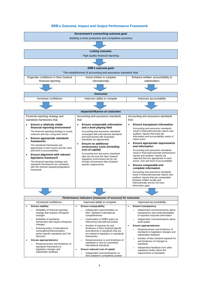### **XRB's Outcome, Impact and Output Performance Framework**



- **Ensure appropriateness** 
	- o Responsiveness and timeliness of standards to legislative changes and stakeholder feedback
	- Number of New Zealand requests for and timeliness of changes to standards
	- o Independent feedback from other regulatory bodies about the requirements of standards

timeliness of New Zealand-specific amendments to standards that are not related to legislative or standards

o Responsiveness to and timeliness of standards to new (or amended) international standards **Ensure reduced cost of capital** o Independent comment/reports on New Zealand's competitive position

frameworks

Enduring policy of international convergence/harmonisation, sector-specific standards and Tier

Responsiveness and timeliness of standards frameworks to legislative changes and stakeholder feedback

**Structure Ensure appropriateness**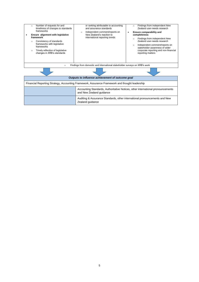|                                                                                                | Number of requests for and<br>$\circ$<br>timeliness of changes to standards<br>frameworks<br>Ensure alignment with legislative<br>framework<br>Consistency of standards<br>$\circ$<br>frameworks with legislative<br>frameworks<br>Timely reflection of legislative<br>$\circ$<br>changes in XRB's standards | or ranking attributable to accounting<br>and assurance standards<br>Independent comment/reports on<br>$\circ$<br>New Zealand's reaction to<br>international reporting trends | Findings from independent New<br>$\circ$<br>Zealand user-needs research<br>Ensure comparability and<br>٠<br>completeness<br>Findings from independent New<br>Zealand user-needs research<br>Independent comment/reports on<br>$\circ$<br>stakeholder awareness of wider<br>corporate reporting and non-financial<br>reporting matters |  |  |
|------------------------------------------------------------------------------------------------|--------------------------------------------------------------------------------------------------------------------------------------------------------------------------------------------------------------------------------------------------------------------------------------------------------------|------------------------------------------------------------------------------------------------------------------------------------------------------------------------------|---------------------------------------------------------------------------------------------------------------------------------------------------------------------------------------------------------------------------------------------------------------------------------------------------------------------------------------|--|--|
| Findings from domestic and international stakeholder surveys on XRB's work<br>$\circ$          |                                                                                                                                                                                                                                                                                                              |                                                                                                                                                                              |                                                                                                                                                                                                                                                                                                                                       |  |  |
|                                                                                                |                                                                                                                                                                                                                                                                                                              |                                                                                                                                                                              |                                                                                                                                                                                                                                                                                                                                       |  |  |
| Outputs to influence achievement of outcome goal                                               |                                                                                                                                                                                                                                                                                                              |                                                                                                                                                                              |                                                                                                                                                                                                                                                                                                                                       |  |  |
| Financial Reporting Strategy, Accounting Framework, Assurance Framework and thought leadership |                                                                                                                                                                                                                                                                                                              |                                                                                                                                                                              |                                                                                                                                                                                                                                                                                                                                       |  |  |

| , manoial reporting Unategy, / locoanting Framework, / localarice Framework and thought loadership |                                                                                                             |  |  |  |
|----------------------------------------------------------------------------------------------------|-------------------------------------------------------------------------------------------------------------|--|--|--|
|                                                                                                    | Accounting Standards, Authoritative Notices, other international pronouncements<br>and New Zealand guidance |  |  |  |
|                                                                                                    | Auditing & Assurance Standards, other international pronouncements and New<br>Zealand guidance              |  |  |  |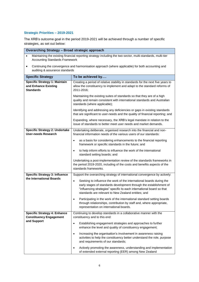## **Strategic Priorities – 2019-2021**

The XRB's outcome goal in the period 2019-2021 will be achieved through a number of specific strategies, as set out below:

| <b>Overarching Strategy - Broad strategic approach</b>                                                                                                            |                                                                                                                                                                                                                                                                                         |  |  |  |  |  |
|-------------------------------------------------------------------------------------------------------------------------------------------------------------------|-----------------------------------------------------------------------------------------------------------------------------------------------------------------------------------------------------------------------------------------------------------------------------------------|--|--|--|--|--|
| Maintaining the existing financial reporting strategy including the two-sector, multi-standards, multi-tier<br>$\bullet$<br><b>Accounting Standards Framework</b> |                                                                                                                                                                                                                                                                                         |  |  |  |  |  |
| $\bullet$                                                                                                                                                         | Continuing the convergence and harmonisation approach (where applicable) for both accounting and<br>auditing & assurance standards                                                                                                                                                      |  |  |  |  |  |
| <b>Specific Strategy</b>                                                                                                                                          | To be achieved by                                                                                                                                                                                                                                                                       |  |  |  |  |  |
| <b>Specific Strategy 1: Maintain</b><br>and Enhance Existing<br><b>Standards</b>                                                                                  | Creating a period of relative stability in standards for the next five years to<br>allow the constituency to implement and adapt to the standard reforms of<br>2011-2016;                                                                                                               |  |  |  |  |  |
|                                                                                                                                                                   | Maintaining the existing suites of standards so that they are of a high<br>quality and remain consistent with international standards and Australian<br>standards (where applicable);                                                                                                   |  |  |  |  |  |
|                                                                                                                                                                   | Identifying and addressing any deficiencies or gaps in existing standards<br>that are significant to user-needs and the quality of financial reporting; and                                                                                                                             |  |  |  |  |  |
|                                                                                                                                                                   | Expanding, where necessary, the XRB's legal mandate in relation to the<br>issue of standards to better meet user needs and market demands.                                                                                                                                              |  |  |  |  |  |
| <b>Specific Strategy 2: Undertake</b><br><b>User-needs Research</b>                                                                                               | Undertaking deliberate, organised research into the financial and non-<br>financial information needs of the various users of our standards:                                                                                                                                            |  |  |  |  |  |
|                                                                                                                                                                   | as a basis for considering enhancements to the financial reporting<br>framework or specific standards in the future; and                                                                                                                                                                |  |  |  |  |  |
|                                                                                                                                                                   | to help inform efforts to influence the work of the international<br>$\bullet$<br>standard setting boards; and                                                                                                                                                                          |  |  |  |  |  |
|                                                                                                                                                                   | Undertaking a post-implementation review of the standards frameworks in<br>the period 2019-2020, including of the costs and benefits aspects of the<br>standards frameworks.                                                                                                            |  |  |  |  |  |
| <b>Specific Strategy 3: Influence</b>                                                                                                                             | Support the overarching strategy of international convergence by actively:                                                                                                                                                                                                              |  |  |  |  |  |
| the International Boards                                                                                                                                          | Seeking to influence the work of the international boards during the<br>$\bullet$<br>early stages of standards development through the establishment of<br>"influencing strategies" specific to each international board so that<br>standards are relevant to New Zealand entities; and |  |  |  |  |  |
|                                                                                                                                                                   | Participating in the work of the international standard setting boards<br>through relationships, contribution by staff and, where appropriate,<br>representation on international boards.                                                                                               |  |  |  |  |  |
| <b>Specific Strategy 4: Enhance</b><br><b>Constituency Engagement</b>                                                                                             | Continuing to develop standards in a collaborative manner with the<br>constituency and to this end:                                                                                                                                                                                     |  |  |  |  |  |
| and Support                                                                                                                                                       | Establishing engagement strategies and approaches to further<br>$\bullet$<br>enhance the level and quality of constituency engagement;                                                                                                                                                  |  |  |  |  |  |
|                                                                                                                                                                   | Increasing the organisation's involvement in awareness raising<br>$\bullet$<br>activities to help the constituency better understand the role, purpose<br>and requirements of our standards;                                                                                            |  |  |  |  |  |
|                                                                                                                                                                   | Actively promoting the awareness, understanding and implementation<br>of extended external reporting (EER) among New Zealand                                                                                                                                                            |  |  |  |  |  |